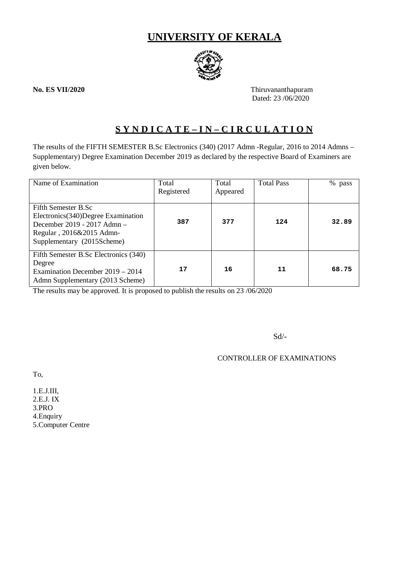# **UNIVERSITY OF KERALA**



**No. ES VII/2020** Thiruvananthapuram Dated: 23 /06/2020

# **S Y N D I C A T E – I N – C I R C U L A T I O N**

The results of the FIFTH SEMESTER B.Sc Electronics (340) (2017 Admn -Regular, 2016 to 2014 Admns – Supplementary) Degree Examination December 2019 as declared by the respective Board of Examiners are given below.

| Name of Examination                                                                                                                                  | Total<br>Registered | Total<br>Appeared | <b>Total Pass</b> | %<br>pass |
|------------------------------------------------------------------------------------------------------------------------------------------------------|---------------------|-------------------|-------------------|-----------|
| Fifth Semester B.Sc<br>Electronics (340) Degree Examination<br>December 2019 - 2017 Admn -<br>Regular, 2016&2015 Admn-<br>Supplementary (2015Scheme) | 387                 | 377               | 124               | 32.89     |
| Fifth Semester B.Sc Electronics (340)<br>Degree<br>Examination December 2019 – 2014<br>Admn Supplementary (2013 Scheme)                              | 17                  | 16                | 11                | 68.75     |

The results may be approved. It is proposed to publish the results on 23 /06/2020

Sd/-

CONTROLLER OF EXAMINATIONS

To,

1.E.J.III, 2.E.J. IX 3.PRO 4.Enquiry 5.Computer Centre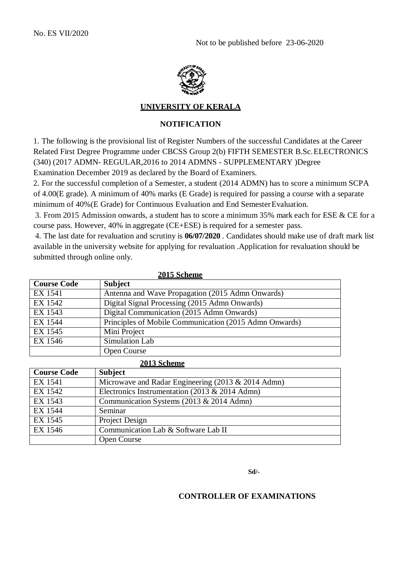

### **UNIVERSITY OF KERALA**

## **NOTIFICATION**

1. The following is the provisional list of Register Numbers of the successful Candidates at the Career Related First Degree Programme under CBCSS Group 2(b) FIFTH SEMESTER B.Sc.ELECTRONICS (340) (2017 ADMN- REGULAR,2016 to 2014 ADMNS - SUPPLEMENTARY )Degree Examination December 2019 as declared by the Board of Examiners.

2. For the successful completion of a Semester, a student (2014 ADMN) has to score a minimum SCPA of 4.00(E grade). A minimum of 40% marks (E Grade) is required for passing a course with a separate minimum of 40%(E Grade) for Continuous Evaluation and End SemesterEvaluation.

3. From 2015 Admission onwards, a student has to score a minimum 35% mark each for ESE & CE for a course pass. However, 40% in aggregate (CE+ESE) is required for a semester pass.

4. The last date for revaluation and scrutiny is **06/07/2020** . Candidates should make use of draft mark list available in the university website for applying for revaluation .Application for revaluation should be submitted through online only.

| 2015 Scheme        |                                                        |  |  |
|--------------------|--------------------------------------------------------|--|--|
| <b>Course Code</b> | <b>Subject</b>                                         |  |  |
| <b>EX 1541</b>     | Antenna and Wave Propagation (2015 Admn Onwards)       |  |  |
| EX 1542            | Digital Signal Processing (2015 Admn Onwards)          |  |  |
| EX 1543            | Digital Communication (2015 Admn Onwards)              |  |  |
| EX 1544            | Principles of Mobile Communication (2015 Admn Onwards) |  |  |
| EX 1545            | Mini Project                                           |  |  |
| EX 1546            | Simulation Lab                                         |  |  |
|                    | Open Course                                            |  |  |

| 2013 Scheme        |                                                    |  |  |
|--------------------|----------------------------------------------------|--|--|
| <b>Course Code</b> | <b>Subject</b>                                     |  |  |
| EX 1541            | Microwave and Radar Engineering (2013 & 2014 Admn) |  |  |
| EX 1542            | Electronics Instrumentation (2013 & 2014 Admn)     |  |  |
| EX 1543            | Communication Systems (2013 & 2014 Admn)           |  |  |
| EX 1544            | Seminar                                            |  |  |
| EX 1545            | Project Design                                     |  |  |
| EX 1546            | Communication Lab & Software Lab II                |  |  |
|                    | <b>Open Course</b>                                 |  |  |

**Sd/-**

### **CONTROLLER OF EXAMINATIONS**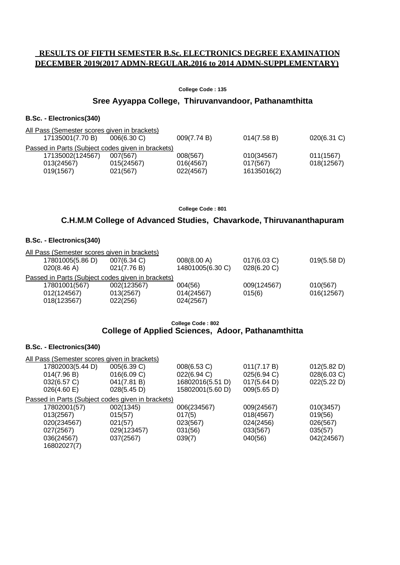# **RESULTS OF FIFTH SEMESTER B.Sc. ELECTRONICS DEGREE EXAMINATION DECEMBER 2019(2017 ADMN-REGULAR,2016 to 2014 ADMN-SUPPLEMENTARY)**

#### **College Code : 135**

## **Sree Ayyappa College, Thiruvanvandoor, Pathanamthitta**

#### **B.Sc. - Electronics(340)**

| All Pass (Semester scores given in brackets)      |                |             |             |             |
|---------------------------------------------------|----------------|-------------|-------------|-------------|
| 17135001(7.70 B)                                  | $006(6.30)$ C) | 009(7.74 B) | 014(7.58 B) | 020(6.31 C) |
| Passed in Parts (Subject codes given in brackets) |                |             |             |             |
| 17135002(124567)                                  | 007(567)       | 008(567)    | 010(34567)  | 011(1567)   |
| 013(24567)                                        | 015(24567)     | 016(4567)   | 017(567)    | 018(12567)  |
| 019(1567)                                         | 021(567)       | 022(4567)   | 16135016(2) |             |

**College Code : 801**

## **C.H.M.M College of Advanced Studies, Chavarkode, Thiruvananthapuram**

### **B.Sc. - Electronics(340)**

| 007(6.34 C) | 008(8.00 A)                                                                    | 017(6.03 C)                                                                                       | 019(5.58 D) |
|-------------|--------------------------------------------------------------------------------|---------------------------------------------------------------------------------------------------|-------------|
| 021(7.76 B) | 14801005(6.30 C)                                                               | 028(6.20 C)                                                                                       |             |
|             |                                                                                |                                                                                                   |             |
| 002(123567) | 004(56)                                                                        | 009(124567)                                                                                       | 010(567)    |
| 013(2567)   | 014(24567)                                                                     | 015(6)                                                                                            | 016(12567)  |
| 022(256)    | 024(2567)                                                                      |                                                                                                   |             |
|             | 17801005(5.86 D)<br>020(8.46 A)<br>17801001(567)<br>012(124567)<br>018(123567) | All Pass (Semester scores given in brackets)<br>Passed in Parts (Subject codes given in brackets) |             |

#### **College Code : 802 College of Applied Sciences, Adoor, Pathanamthitta**

#### **B.Sc. - Electronics(340)**

| All Pass (Semester scores given in brackets) |                  |                                                   |             |
|----------------------------------------------|------------------|---------------------------------------------------|-------------|
| 005(6.39 C)                                  | 008(6.53 C)      | 011(7.17 B)                                       | 012(5.82 D) |
| 016(6.09 C)                                  | 022(6.94 C)      | 025(6.94 C)                                       | 028(6.03 C) |
| 041(7.81 B)                                  | 16802016(5.51 D) | 017(5.64 D)                                       | 022(5.22 D) |
| 028(5.45 D)                                  | 15802001(5.60 D) | 009(5.65 D)                                       |             |
|                                              |                  |                                                   |             |
| 002(1345)                                    | 006(234567)      | 009(24567)                                        | 010(3457)   |
| 015(57)                                      | 017(5)           | 018(4567)                                         | 019(56)     |
| 021(57)                                      | 023(567)         | 024(2456)                                         | 026(567)    |
| 029(123457)                                  | 031(56)          | 033(567)                                          | 035(57)     |
| 037(2567)                                    | 039(7)           | 040(56)                                           | 042(24567)  |
|                                              |                  |                                                   |             |
|                                              |                  | Passed in Parts (Subject codes given in brackets) |             |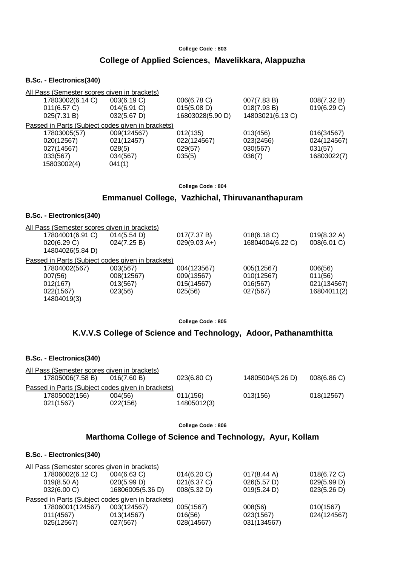#### **College Code : 803**

### **College of Applied Sciences, Mavelikkara, Alappuzha**

### **B.Sc. - Electronics(340)**

| 17803002(6.14 C) | 003(6.19 C)           | 006(6.78 C)                                                                                       | 007(7.83 B)      | 008(7.32 B) |
|------------------|-----------------------|---------------------------------------------------------------------------------------------------|------------------|-------------|
| 011(6.57 C)      | 014(6.91)             | 015(5.08 D)                                                                                       | 018(7.93 B)      | 019(6.29 C) |
| 025(7.31 B)      | $032(5.67 \text{ D})$ | 16803028(5.90 D)                                                                                  | 14803021(6.13 C) |             |
|                  |                       |                                                                                                   |                  |             |
| 17803005(57)     | 009(124567)           | 012(135)                                                                                          | 013(456)         | 016(34567)  |
| 020(12567)       | 021(12457)            | 022(124567)                                                                                       | 023(2456)        | 024(124567) |
| 027(14567)       | 028(5)                | 029(57)                                                                                           | 030(567)         | 031(57)     |
| 033(567)         | 034(567)              | 035(5)                                                                                            | 036(7)           | 16803022(7) |
| 15803002(4)      | 041(1)                |                                                                                                   |                  |             |
|                  |                       | All Pass (Semester scores given in brackets)<br>Passed in Parts (Subject codes given in brackets) |                  |             |

**College Code : 804**

### **Emmanuel College, Vazhichal, Thiruvananthapuram**

#### **B.Sc. - Electronics(340)**

| All Pass (Semester scores given in brackets)      |             |                |                  |                       |
|---------------------------------------------------|-------------|----------------|------------------|-----------------------|
| 17804001(6.91 C)                                  | 014(5.54 D) | 017(7.37 B)    | 018(6.18 C)      | $019(8.32 \text{ A})$ |
| 020(6.29 C)                                       | 024(7.25 B) | $029(9.03 A+)$ | 16804004(6.22 C) | 008(6.01 C)           |
| 14804026(5.84 D)                                  |             |                |                  |                       |
| Passed in Parts (Subject codes given in brackets) |             |                |                  |                       |
| 17804002(567)                                     | 003(567)    | 004(123567)    | 005(12567)       | 006(56)               |
| 007(56)                                           | 008(12567)  | 009(13567)     | 010(12567)       | 011(56)               |
| 012(167)                                          | 013(567)    | 015(14567)     | 016(567)         | 021(134567)           |
| 022(1567)                                         | 023(56)     | 025(56)        | 027(567)         | 16804011(2)           |
| 14804019(3)                                       |             |                |                  |                       |
|                                                   |             |                |                  |                       |

**College Code : 805**

# **K.V.V.S College of Science and Technology, Adoor, Pathanamthitta**

| B.Sc. - Electronics(340)                                                        |                     |                         |                  |            |
|---------------------------------------------------------------------------------|---------------------|-------------------------|------------------|------------|
| All Pass (Semester scores given in brackets)<br>17805006(7.58 B)                | 016(7.60 B)         | 023(6.80 C)             | 14805004(5.26 D) | 008(6.86)  |
| Passed in Parts (Subject codes given in brackets)<br>17805002(156)<br>021(1567) | 004(56)<br>022(156) | 011(156)<br>14805012(3) | 013(156)         | 018(12567) |

**College Code : 806**

## **Marthoma College of Science and Technology, Ayur, Kollam**

# **B.Sc. - Electronics(340)**

| All Pass (Semester scores given in brackets)      |                  |             |                       |             |
|---------------------------------------------------|------------------|-------------|-----------------------|-------------|
| 17806002(6.12 C)                                  | 004(6.63 C)      | 014(6.20 C) | $017(8.44 \text{ A})$ | 018(6.72 C) |
| $019(8.50 \text{ A})$                             | 020(5.99 D)      | 021(6.37 C) | 026(5.57 D)           | 029(5.99 D) |
| 032(6.00 C)                                       | 16806005(5.36 D) | 008(5.32 D) | 019(5.24 D)           | 023(5.26 D) |
| Passed in Parts (Subject codes given in brackets) |                  |             |                       |             |
| 17806001(124567)                                  | 003(124567)      | 005(1567)   | 008(56)               | 010(1567)   |
| 011(4567)                                         | 013(14567)       | 016(56)     | 023(1567)             | 024(124567) |
| 025(12567)                                        | 027(567)         | 028(14567)  | 031(134567)           |             |
|                                                   |                  |             |                       |             |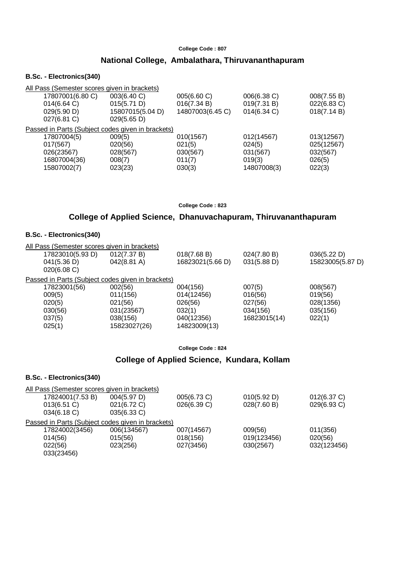#### **College Code : 807**

# **National College, Ambalathara, Thiruvananthapuram**

#### **B.Sc. - Electronics(340)**

| 008(7.55 B) |
|-------------|
| 022(6.83 C) |
| 018(7.14 B) |
|             |
|             |
| 013(12567)  |
| 025(12567)  |
| 032(567)    |
| 026(5)      |
| 022(3)      |
|             |

#### **College Code : 823**

# **College of Applied Science, Dhanuvachapuram, Thiruvananthapuram**

### **B.Sc. - Electronics(340)**

|                  | All Pass (Semester scores given in brackets)      |                  |              |                  |
|------------------|---------------------------------------------------|------------------|--------------|------------------|
| 17823010(5.93 D) | 012(7.37 B)                                       | 018(7.68 B)      | 024(7.80 B)  | 036(5.22 D)      |
| 041(5.36 D)      | $042(8.81 \text{ A})$                             | 16823021(5.66 D) | 031(5.88 D)  | 15823005(5.87 D) |
| 020(6.08 C)      |                                                   |                  |              |                  |
|                  | Passed in Parts (Subject codes given in brackets) |                  |              |                  |
| 17823001(56)     | 002(56)                                           | 004(156)         | 007(5)       | 008(567)         |
| 009(5)           | 011(156)                                          | 014(12456)       | 016(56)      | 019(56)          |
| 020(5)           | 021(56)                                           | 026(56)          | 027(56)      | 028(1356)        |
| 030(56)          | 031(23567)                                        | 032(1)           | 034(156)     | 035(156)         |
| 037(5)           | 038(156)                                          | 040(12356)       | 16823015(14) | 022(1)           |
| 025(1)           | 15823027(26)                                      | 14823009(13)     |              |                  |
|                  |                                                   |                  |              |                  |

**College Code : 824**

# **College of Applied Science, Kundara, Kollam**

#### **B.Sc. - Electronics(340)**

| All Pass (Semester scores given in brackets)      |             |             |             |             |
|---------------------------------------------------|-------------|-------------|-------------|-------------|
| 17824001(7.53 B)                                  | 004(5.97 D) | 005(6.73 C) | 010(5.92 D) | 012(6.37 C) |
| $013(6.51)$ C)                                    | 021(6.72 C) | 026(6.39 C) | 028(7.60 B) | 029(6.93 C) |
| $034(6.18 \text{ C})$                             | 035(6.33 C) |             |             |             |
| Passed in Parts (Subject codes given in brackets) |             |             |             |             |
| 17824002(3456)                                    | 006(134567) | 007(14567)  | 009(56)     | 011(356)    |
| 014(56)                                           | 015(56)     | 018(156)    | 019(123456) | 020(56)     |
| 022(56)                                           | 023(256)    | 027(3456)   | 030(2567)   | 032(123456) |
| 033(23456)                                        |             |             |             |             |